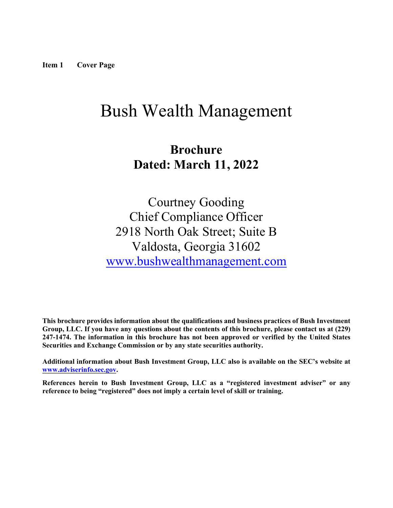# <span id="page-0-0"></span>Bush Wealth Management

# **Brochure Dated: March 11, 2022**

Courtney Gooding Chief Compliance Officer 2918 North Oak Street; Suite B Valdosta, Georgia 31602 [www.bushwealthmanagement.com](https://www.bushwealthmanagement.com/)

**This brochure provides information about the qualifications and business practices of Bush Investment Group, LLC. If you have any questions about the contents of this brochure, please contact us at (229) 247-1474. The information in this brochure has not been approved or verified by the United States Securities and Exchange Commission or by any state securities authority.**

**Additional information about Bush Investment Group, LLC also is available on the SEC's website at [www.adviserinfo.sec.gov.](https://adviserinfo.sec.gov/)**

**References herein to Bush Investment Group, LLC as a "registered investment adviser" or any reference to being "registered" does not imply a certain level of skill or training.**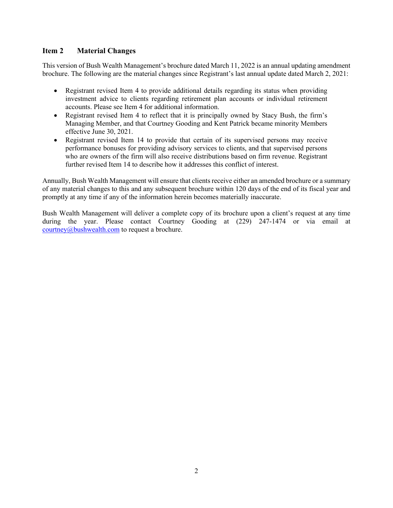## <span id="page-1-0"></span>**Item 2 Material Changes**

This version of Bush Wealth Management's brochure dated March 11, 2022 is an annual updating amendment brochure. The following are the material changes since Registrant's last annual update dated March 2, 2021:

- Registrant revised Item 4 to provide additional details regarding its status when providing investment advice to clients regarding retirement plan accounts or individual retirement accounts. Please see Item 4 for additional information.
- Registrant revised Item 4 to reflect that it is principally owned by Stacy Bush, the firm's Managing Member, and that Courtney Gooding and Kent Patrick became minority Members effective June 30, 2021.
- Registrant revised Item 14 to provide that certain of its supervised persons may receive performance bonuses for providing advisory services to clients, and that supervised persons who are owners of the firm will also receive distributions based on firm revenue. Registrant further revised Item 14 to describe how it addresses this conflict of interest.

Annually, Bush Wealth Management will ensure that clients receive either an amended brochure or a summary of any material changes to this and any subsequent brochure within 120 days of the end of its fiscal year and promptly at any time if any of the information herein becomes materially inaccurate.

Bush Wealth Management will deliver a complete copy of its brochure upon a client's request at any time during the year. Please contact Courtney Gooding at (229) 247-1474 or via email at  $\frac{\text{counter}(a)\text{bushwealth.com}}{\text{courtney}(a)\text{bushwealth.com}}$  to request a brochure.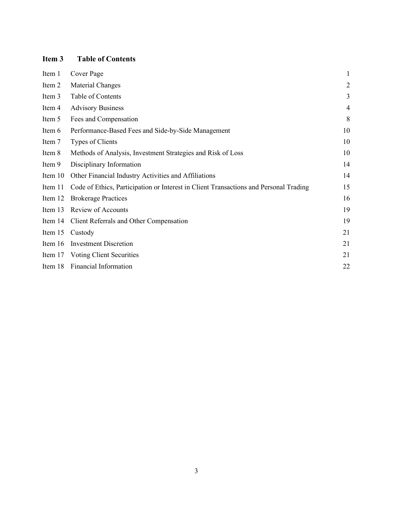## <span id="page-2-0"></span>**Item 3 Table of Contents**

| Item 1  | Cover Page                                                                            | $\mathbf{1}$   |
|---------|---------------------------------------------------------------------------------------|----------------|
| Item 2  | Material Changes                                                                      | $\overline{2}$ |
| Item 3  | Table of Contents                                                                     | 3              |
| Item 4  | <b>Advisory Business</b>                                                              | 4              |
| Item 5  | Fees and Compensation                                                                 | 8              |
| Item 6  | Performance-Based Fees and Side-by-Side Management                                    | 10             |
| Item 7  | Types of Clients                                                                      | 10             |
| Item 8  | Methods of Analysis, Investment Strategies and Risk of Loss                           | 10             |
| Item 9  | Disciplinary Information                                                              | 14             |
| Item 10 | Other Financial Industry Activities and Affiliations                                  | 14             |
| Item 11 | Code of Ethics, Participation or Interest in Client Transactions and Personal Trading | 15             |
| Item 12 | <b>Brokerage Practices</b>                                                            | 16             |
| Item 13 | Review of Accounts                                                                    | 19             |
| Item 14 | Client Referrals and Other Compensation                                               | 19             |
| Item 15 | Custody                                                                               | 21             |
| Item 16 | <b>Investment Discretion</b>                                                          | 21             |
|         | Item 17 Voting Client Securities                                                      | 21             |
| Item 18 | Financial Information                                                                 | 22             |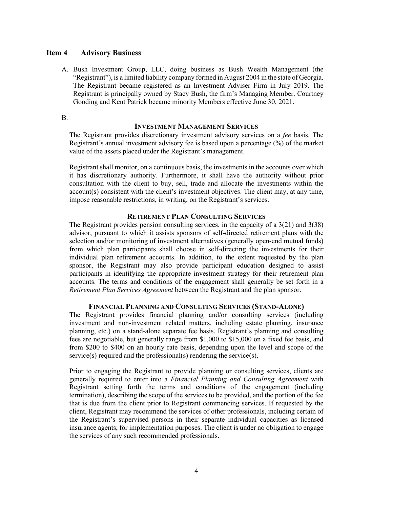#### <span id="page-3-0"></span>**Item 4 Advisory Business**

A. Bush Investment Group, LLC, doing business as Bush Wealth Management (the "Registrant"), is a limited liability company formed in August 2004 in the state of Georgia. The Registrant became registered as an Investment Adviser Firm in July 2019. The Registrant is principally owned by Stacy Bush, the firm's Managing Member. Courtney Gooding and Kent Patrick became minority Members effective June 30, 2021.

B.

#### **INVESTMENT MANAGEMENT SERVICES**

The Registrant provides discretionary investment advisory services on a *fee* basis. The Registrant's annual investment advisory fee is based upon a percentage (%) of the market value of the assets placed under the Registrant's management.

Registrant shall monitor, on a continuous basis, the investments in the accounts over which it has discretionary authority. Furthermore, it shall have the authority without prior consultation with the client to buy, sell, trade and allocate the investments within the account(s) consistent with the client's investment objectives. The client may, at any time, impose reasonable restrictions, in writing, on the Registrant's services.

#### **RETIREMENT PLAN CONSULTING SERVICES**

The Registrant provides pension consulting services, in the capacity of a 3(21) and 3(38) advisor, pursuant to which it assists sponsors of self-directed retirement plans with the selection and/or monitoring of investment alternatives (generally open-end mutual funds) from which plan participants shall choose in self-directing the investments for their individual plan retirement accounts. In addition, to the extent requested by the plan sponsor, the Registrant may also provide participant education designed to assist participants in identifying the appropriate investment strategy for their retirement plan accounts. The terms and conditions of the engagement shall generally be set forth in a *Retirement Plan Services Agreement* between the Registrant and the plan sponsor.

#### **FINANCIAL PLANNING AND CONSULTING SERVICES (STAND-ALONE)**

The Registrant provides financial planning and/or consulting services (including investment and non-investment related matters, including estate planning, insurance planning, etc.) on a stand-alone separate fee basis. Registrant's planning and consulting fees are negotiable, but generally range from \$1,000 to \$15,000 on a fixed fee basis, and from \$200 to \$400 on an hourly rate basis, depending upon the level and scope of the service(s) required and the professional(s) rendering the service(s).

Prior to engaging the Registrant to provide planning or consulting services, clients are generally required to enter into a *Financial Planning and Consulting Agreement* with Registrant setting forth the terms and conditions of the engagement (including termination), describing the scope of the services to be provided, and the portion of the fee that is due from the client prior to Registrant commencing services. If requested by the client, Registrant may recommend the services of other professionals, including certain of the Registrant's supervised persons in their separate individual capacities as licensed insurance agents, for implementation purposes. The client is under no obligation to engage the services of any such recommended professionals.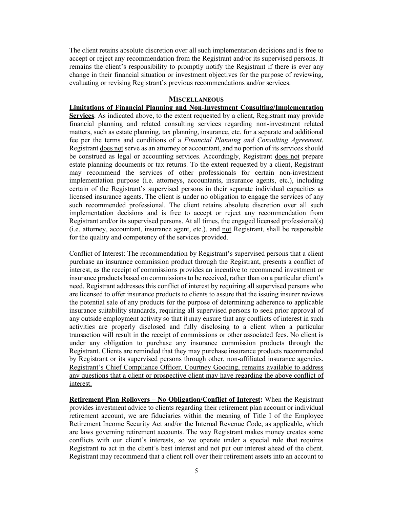The client retains absolute discretion over all such implementation decisions and is free to accept or reject any recommendation from the Registrant and/or its supervised persons. It remains the client's responsibility to promptly notify the Registrant if there is ever any change in their financial situation or investment objectives for the purpose of reviewing, evaluating or revising Registrant's previous recommendations and/or services.

#### **MISCELLANEOUS**

**Limitations of Financial Planning and Non-Investment Consulting/Implementation Services**. As indicated above, to the extent requested by a client, Registrant may provide financial planning and related consulting services regarding non-investment related matters, such as estate planning, tax planning, insurance, etc. for a separate and additional fee per the terms and conditions of a *Financial Planning and Consulting Agreement*. Registrant does not serve as an attorney or accountant, and no portion of its services should be construed as legal or accounting services. Accordingly, Registrant does not prepare estate planning documents or tax returns. To the extent requested by a client, Registrant may recommend the services of other professionals for certain non-investment implementation purpose (i.e. attorneys, accountants, insurance agents, etc.), including certain of the Registrant's supervised persons in their separate individual capacities as licensed insurance agents. The client is under no obligation to engage the services of any such recommended professional. The client retains absolute discretion over all such implementation decisions and is free to accept or reject any recommendation from Registrant and/or its supervised persons. At all times, the engaged licensed professional(s) (i.e. attorney, accountant, insurance agent, etc.), and not Registrant, shall be responsible for the quality and competency of the services provided.

Conflict of Interest: The recommendation by Registrant's supervised persons that a client purchase an insurance commission product through the Registrant, presents a conflict of interest, as the receipt of commissions provides an incentive to recommend investment or insurance products based on commissions to be received, rather than on a particular client's need. Registrant addresses this conflict of interest by requiring all supervised persons who are licensed to offer insurance products to clients to assure that the issuing insurer reviews the potential sale of any products for the purpose of determining adherence to applicable insurance suitability standards, requiring all supervised persons to seek prior approval of any outside employment activity so that it may ensure that any conflicts of interest in such activities are properly disclosed and fully disclosing to a client when a particular transaction will result in the receipt of commissions or other associated fees. No client is under any obligation to purchase any insurance commission products through the Registrant. Clients are reminded that they may purchase insurance products recommended by Registrant or its supervised persons through other, non-affiliated insurance agencies. Registrant's Chief Compliance Officer, Courtney Gooding, remains available to address any questions that a client or prospective client may have regarding the above conflict of interest.

**Retirement Plan Rollovers – No Obligation/Conflict of Interest:** When the Registrant provides investment advice to clients regarding their retirement plan account or individual retirement account, we are fiduciaries within the meaning of Title I of the Employee Retirement Income Security Act and/or the Internal Revenue Code, as applicable, which are laws governing retirement accounts. The way Registrant makes money creates some conflicts with our client's interests, so we operate under a special rule that requires Registrant to act in the client's best interest and not put our interest ahead of the client. Registrant may recommend that a client roll over their retirement assets into an account to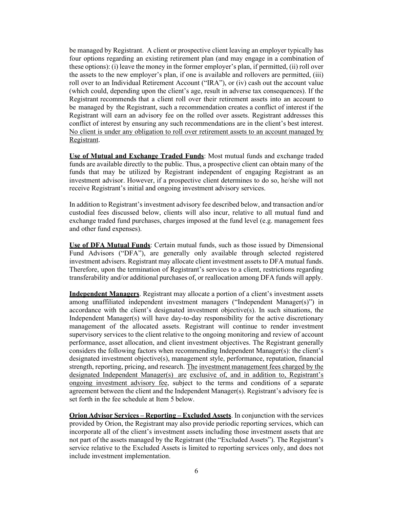be managed by Registrant. A client or prospective client leaving an employer typically has four options regarding an existing retirement plan (and may engage in a combination of these options): (i) leave the money in the former employer's plan, if permitted, (ii) roll over the assets to the new employer's plan, if one is available and rollovers are permitted, (iii) roll over to an Individual Retirement Account ("IRA"), or (iv) cash out the account value (which could, depending upon the client's age, result in adverse tax consequences). If the Registrant recommends that a client roll over their retirement assets into an account to be managed by the Registrant, such a recommendation creates a conflict of interest if the Registrant will earn an advisory fee on the rolled over assets. Registrant addresses this conflict of interest by ensuring any such recommendations are in the client's best interest. No client is under any obligation to roll over retirement assets to an account managed by Registrant.

**Use of Mutual and Exchange Traded Funds**: Most mutual funds and exchange traded funds are available directly to the public. Thus, a prospective client can obtain many of the funds that may be utilized by Registrant independent of engaging Registrant as an investment advisor. However, if a prospective client determines to do so, he/she will not receive Registrant's initial and ongoing investment advisory services.

In addition to Registrant's investment advisory fee described below, and transaction and/or custodial fees discussed below, clients will also incur, relative to all mutual fund and exchange traded fund purchases, charges imposed at the fund level (e.g. management fees and other fund expenses).

**Use of DFA Mutual Funds**: Certain mutual funds, such as those issued by Dimensional Fund Advisors ("DFA"), are generally only available through selected registered investment advisers. Registrant may allocate client investment assets to DFA mutual funds. Therefore, upon the termination of Registrant's services to a client, restrictions regarding transferability and/or additional purchases of, or reallocation among DFA funds will apply.

**Independent Managers**. Registrant may allocate a portion of a client's investment assets among unaffiliated independent investment managers ("Independent Manager(s)") in accordance with the client's designated investment objective(s). In such situations, the Independent Manager(s) will have day-to-day responsibility for the active discretionary management of the allocated assets. Registrant will continue to render investment supervisory services to the client relative to the ongoing monitoring and review of account performance, asset allocation, and client investment objectives. The Registrant generally considers the following factors when recommending Independent Manager(s): the client's designated investment objective(s), management style, performance, reputation, financial strength, reporting, pricing, and research. The investment management fees charged by the designated Independent Manager(s) are exclusive of, and in addition to, Registrant's ongoing investment advisory fee, subject to the terms and conditions of a separate agreement between the client and the Independent Manager(s). Registrant's advisory fee is set forth in the fee schedule at Item 5 below.

**Orion Advisor Services – Reporting – Excluded Assets**. In conjunction with the services provided by Orion, the Registrant may also provide periodic reporting services, which can incorporate all of the client's investment assets including those investment assets that are not part of the assets managed by the Registrant (the "Excluded Assets"). The Registrant's service relative to the Excluded Assets is limited to reporting services only, and does not include investment implementation.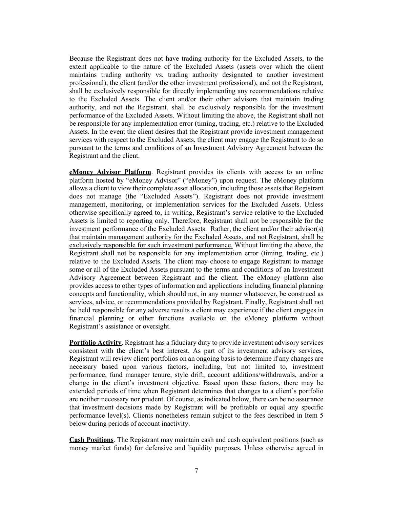Because the Registrant does not have trading authority for the Excluded Assets, to the extent applicable to the nature of the Excluded Assets (assets over which the client maintains trading authority vs. trading authority designated to another investment professional), the client (and/or the other investment professional), and not the Registrant, shall be exclusively responsible for directly implementing any recommendations relative to the Excluded Assets. The client and/or their other advisors that maintain trading authority, and not the Registrant, shall be exclusively responsible for the investment performance of the Excluded Assets. Without limiting the above, the Registrant shall not be responsible for any implementation error (timing, trading, etc.) relative to the Excluded Assets. In the event the client desires that the Registrant provide investment management services with respect to the Excluded Assets, the client may engage the Registrant to do so pursuant to the terms and conditions of an Investment Advisory Agreement between the Registrant and the client.

**eMoney Advisor Platform**. Registrant provides its clients with access to an online platform hosted by "eMoney Advisor" ("eMoney") upon request. The eMoney platform allows a client to view their complete asset allocation, including those assets that Registrant does not manage (the "Excluded Assets"). Registrant does not provide investment management, monitoring, or implementation services for the Excluded Assets. Unless otherwise specifically agreed to, in writing, Registrant's service relative to the Excluded Assets is limited to reporting only. Therefore, Registrant shall not be responsible for the investment performance of the Excluded Assets. Rather, the client and/or their advisor(s) that maintain management authority for the Excluded Assets, and not Registrant, shall be exclusively responsible for such investment performance. Without limiting the above, the Registrant shall not be responsible for any implementation error (timing, trading, etc.) relative to the Excluded Assets. The client may choose to engage Registrant to manage some or all of the Excluded Assets pursuant to the terms and conditions of an Investment Advisory Agreement between Registrant and the client. The eMoney platform also provides access to other types of information and applications including financial planning concepts and functionality, which should not, in any manner whatsoever, be construed as services, advice, or recommendations provided by Registrant. Finally, Registrant shall not be held responsible for any adverse results a client may experience if the client engages in financial planning or other functions available on the eMoney platform without Registrant's assistance or oversight.

**Portfolio Activity**. Registrant has a fiduciary duty to provide investment advisory services consistent with the client's best interest. As part of its investment advisory services, Registrant will review client portfolios on an ongoing basis to determine if any changes are necessary based upon various factors, including, but not limited to, investment performance, fund manager tenure, style drift, account additions/withdrawals, and/or a change in the client's investment objective. Based upon these factors, there may be extended periods of time when Registrant determines that changes to a client's portfolio are neither necessary nor prudent. Of course, as indicated below, there can be no assurance that investment decisions made by Registrant will be profitable or equal any specific performance level(s). Clients nonetheless remain subject to the fees described in Item 5 below during periods of account inactivity.

**Cash Positions**. The Registrant may maintain cash and cash equivalent positions (such as money market funds) for defensive and liquidity purposes. Unless otherwise agreed in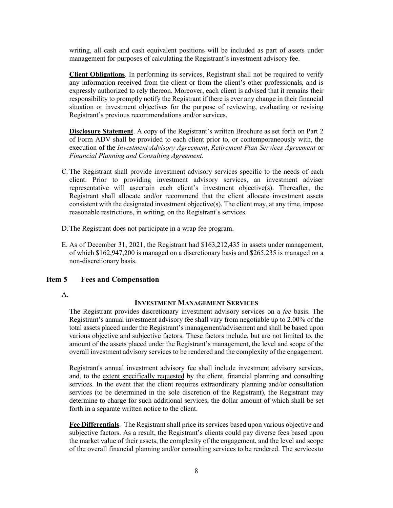writing, all cash and cash equivalent positions will be included as part of assets under management for purposes of calculating the Registrant's investment advisory fee.

**Client Obligations**. In performing its services, Registrant shall not be required to verify any information received from the client or from the client's other professionals, and is expressly authorized to rely thereon. Moreover, each client is advised that it remains their responsibility to promptly notify the Registrant if there is ever any change in their financial situation or investment objectives for the purpose of reviewing, evaluating or revising Registrant's previous recommendations and/or services.

**Disclosure Statement**. A copy of the Registrant's written Brochure as set forth on Part 2 of Form ADV shall be provided to each client prior to, or contemporaneously with, the execution of the *Investment Advisory Agreement*, *Retirement Plan Services Agreement* or *Financial Planning and Consulting Agreement*.

- C. The Registrant shall provide investment advisory services specific to the needs of each client. Prior to providing investment advisory services, an investment adviser representative will ascertain each client's investment objective(s). Thereafter, the Registrant shall allocate and/or recommend that the client allocate investment assets consistent with the designated investment objective(s). The client may, at any time, impose reasonable restrictions, in writing, on the Registrant's services.
- D.The Registrant does not participate in a wrap fee program.
- E. As of December 31, 2021, the Registrant had \$163,212,435 in assets under management, of which \$162,947,200 is managed on a discretionary basis and \$265,235 is managed on a non-discretionary basis.

#### <span id="page-7-0"></span>**Item 5 Fees and Compensation**

A.

#### **INVESTMENT MANAGEMENT SERVICES**

The Registrant provides discretionary investment advisory services on a *fee* basis. The Registrant's annual investment advisory fee shall vary from negotiable up to 2.00% of the total assets placed under the Registrant's management/advisement and shall be based upon various objective and subjective factors. These factors include, but are not limited to, the amount of the assets placed under the Registrant's management, the level and scope of the overall investment advisory services to be rendered and the complexity of the engagement.

Registrant's annual investment advisory fee shall include investment advisory services, and, to the extent specifically requested by the client, financial planning and consulting services. In the event that the client requires extraordinary planning and/or consultation services (to be determined in the sole discretion of the Registrant), the Registrant may determine to charge for such additional services, the dollar amount of which shall be set forth in a separate written notice to the client.

**Fee Differentials**. The Registrant shall price its services based upon various objective and subjective factors. As a result, the Registrant's clients could pay diverse fees based upon the market value of their assets, the complexity of the engagement, and the level and scope of the overall financial planning and/or consulting services to be rendered. The servicesto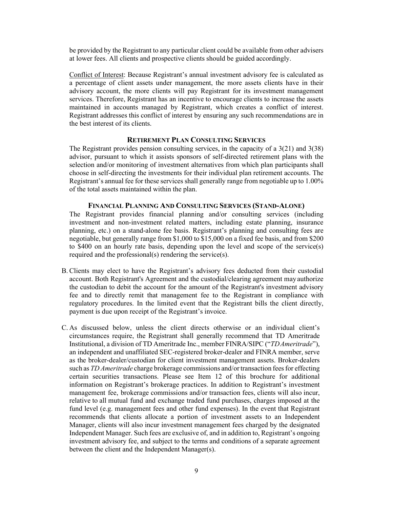be provided by the Registrant to any particular client could be available from other advisers at lower fees. All clients and prospective clients should be guided accordingly.

Conflict of Interest: Because Registrant's annual investment advisory fee is calculated as a percentage of client assets under management, the more assets clients have in their advisory account, the more clients will pay Registrant for its investment management services. Therefore, Registrant has an incentive to encourage clients to increase the assets maintained in accounts managed by Registrant, which creates a conflict of interest. Registrant addresses this conflict of interest by ensuring any such recommendations are in the best interest of its clients.

#### **RETIREMENT PLAN CONSULTING SERVICES**

The Registrant provides pension consulting services, in the capacity of a 3(21) and 3(38) advisor, pursuant to which it assists sponsors of self-directed retirement plans with the selection and/or monitoring of investment alternatives from which plan participants shall choose in self-directing the investments for their individual plan retirement accounts. The Registrant's annual fee for these services shall generally range from negotiable up to 1.00% of the total assets maintained within the plan.

#### **FINANCIAL PLANNING AND CONSULTING SERVICES (STAND-ALONE)**

The Registrant provides financial planning and/or consulting services (including investment and non-investment related matters, including estate planning, insurance planning, etc.) on a stand-alone fee basis. Registrant's planning and consulting fees are negotiable, but generally range from \$1,000 to \$15,000 on a fixed fee basis, and from \$200 to \$400 on an hourly rate basis, depending upon the level and scope of the service(s) required and the professional(s) rendering the service(s).

- B. Clients may elect to have the Registrant's advisory fees deducted from their custodial account. Both Registrant's Agreement and the custodial/clearing agreement mayauthorize the custodian to debit the account for the amount of the Registrant's investment advisory fee and to directly remit that management fee to the Registrant in compliance with regulatory procedures. In the limited event that the Registrant bills the client directly, payment is due upon receipt of the Registrant's invoice.
- C. As discussed below, unless the client directs otherwise or an individual client's circumstances require, the Registrant shall generally recommend that TD Ameritrade Institutional, a division of TD Ameritrade Inc., member FINRA/SIPC ("*TDAmeritrade*"), an independent and unaffiliated SEC-registered broker-dealer and FINRA member, serve as the broker-dealer/custodian for client investment management assets. Broker-dealers such as *TD Ameritrade* charge brokerage commissions and/ortransaction feesfor effecting certain securities transactions. Please see Item 12 of this brochure for additional information on Registrant's brokerage practices. In addition to Registrant's investment management fee, brokerage commissions and/or transaction fees, clients will also incur, relative to all mutual fund and exchange traded fund purchases, charges imposed at the fund level (e.g. management fees and other fund expenses). In the event that Registrant recommends that clients allocate a portion of investment assets to an Independent Manager, clients will also incur investment management fees charged by the designated Independent Manager. Such fees are exclusive of, and in addition to, Registrant's ongoing investment advisory fee, and subject to the terms and conditions of a separate agreement between the client and the Independent Manager(s).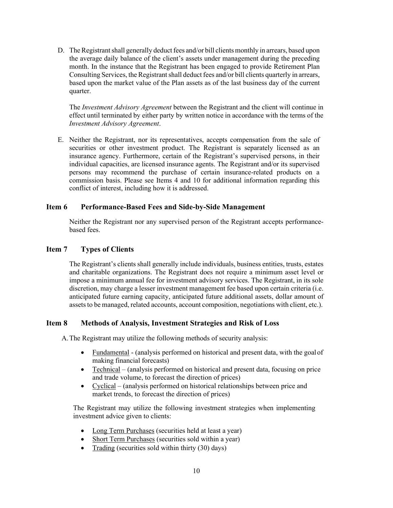D. The Registrant shall generally deduct fees and/or bill clients monthly in arrears, based upon the average daily balance of the client's assets under management during the preceding month. In the instance that the Registrant has been engaged to provide Retirement Plan Consulting Services, the Registrant shall deduct fees and/or bill clients quarterly in arrears, based upon the market value of the Plan assets as of the last business day of the current quarter.

The *Investment Advisory Agreement* between the Registrant and the client will continue in effect until terminated by either party by written notice in accordance with the terms of the *Investment Advisory Agreement*.

E. Neither the Registrant, nor its representatives, accepts compensation from the sale of securities or other investment product. The Registrant is separately licensed as an insurance agency. Furthermore, certain of the Registrant's supervised persons, in their individual capacities, are licensed insurance agents. The Registrant and/or its supervised persons may recommend the purchase of certain insurance-related products on a commission basis. Please see Items 4 and 10 for additional information regarding this conflict of interest, including how it is addressed.

#### <span id="page-9-0"></span>**Item 6 Performance-Based Fees and Side-by-Side Management**

Neither the Registrant nor any supervised person of the Registrant accepts performancebased fees.

#### <span id="page-9-1"></span>**Item 7 Types of Clients**

The Registrant's clients shall generally include individuals, business entities, trusts, estates and charitable organizations. The Registrant does not require a minimum asset level or impose a minimum annual fee for investment advisory services. The Registrant, in its sole discretion, may charge a lesser investment management fee based upon certain criteria (i.e. anticipated future earning capacity, anticipated future additional assets, dollar amount of assets to be managed, related accounts, account composition, negotiations with client, etc.).

#### <span id="page-9-2"></span>**Item 8 Methods of Analysis, Investment Strategies and Risk of Loss**

A.The Registrant may utilize the following methods of security analysis:

- Fundamental (analysis performed on historical and present data, with the goalof making financial forecasts)
- Technical (analysis performed on historical and present data, focusing on price and trade volume, to forecast the direction of prices)
- Cyclical (analysis performed on historical relationships between price and market trends, to forecast the direction of prices)

The Registrant may utilize the following investment strategies when implementing investment advice given to clients:

- Long Term Purchases (securities held at least a year)
- Short Term Purchases (securities sold within a year)
- Trading (securities sold within thirty (30) days)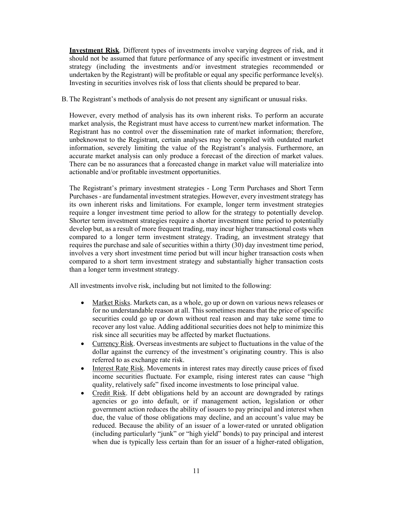**Investment Risk**. Different types of investments involve varying degrees of risk, and it should not be assumed that future performance of any specific investment or investment strategy (including the investments and/or investment strategies recommended or undertaken by the Registrant) will be profitable or equal any specific performance level(s). Investing in securities involves risk of loss that clients should be prepared to bear.

B. The Registrant's methods of analysis do not present any significant or unusual risks.

However, every method of analysis has its own inherent risks. To perform an accurate market analysis, the Registrant must have access to current/new market information. The Registrant has no control over the dissemination rate of market information; therefore, unbeknownst to the Registrant, certain analyses may be compiled with outdated market information, severely limiting the value of the Registrant's analysis. Furthermore, an accurate market analysis can only produce a forecast of the direction of market values. There can be no assurances that a forecasted change in market value will materialize into actionable and/or profitable investment opportunities.

The Registrant's primary investment strategies - Long Term Purchases and Short Term Purchases - are fundamental investment strategies. However, every investment strategy has its own inherent risks and limitations. For example, longer term investment strategies require a longer investment time period to allow for the strategy to potentially develop. Shorter term investment strategies require a shorter investment time period to potentially develop but, as a result of more frequent trading, may incur higher transactional costs when compared to a longer term investment strategy. Trading, an investment strategy that requires the purchase and sale of securities within a thirty (30) day investment time period, involves a very short investment time period but will incur higher transaction costs when compared to a short term investment strategy and substantially higher transaction costs than a longer term investment strategy.

All investments involve risk, including but not limited to the following:

- Market Risks. Markets can, as a whole, go up or down on various news releases or for no understandable reason at all. This sometimes means that the price of specific securities could go up or down without real reason and may take some time to recover any lost value. Adding additional securities does not help to minimize this risk since all securities may be affected by market fluctuations.
- Currency Risk. Overseas investments are subject to fluctuations in the value of the dollar against the currency of the investment's originating country. This is also referred to as exchange rate risk.
- Interest Rate Risk. Movements in interest rates may directly cause prices of fixed income securities fluctuate. For example, rising interest rates can cause "high quality, relatively safe" fixed income investments to lose principal value.
- Credit Risk. If debt obligations held by an account are downgraded by ratings agencies or go into default, or if management action, legislation or other government action reduces the ability of issuers to pay principal and interest when due, the value of those obligations may decline, and an account's value may be reduced. Because the ability of an issuer of a lower-rated or unrated obligation (including particularly "junk" or "high yield" bonds) to pay principal and interest when due is typically less certain than for an issuer of a higher-rated obligation,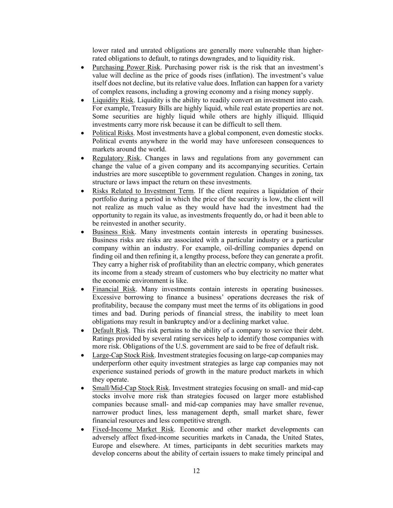lower rated and unrated obligations are generally more vulnerable than higherrated obligations to default, to ratings downgrades, and to liquidity risk.

- Purchasing Power Risk. Purchasing power risk is the risk that an investment's value will decline as the price of goods rises (inflation). The investment's value itself does not decline, but its relative value does. Inflation can happen for a variety of complex reasons, including a growing economy and a rising money supply.
- Liquidity Risk. Liquidity is the ability to readily convert an investment into cash. For example, Treasury Bills are highly liquid, while real estate properties are not. Some securities are highly liquid while others are highly illiquid. Illiquid investments carry more risk because it can be difficult to sell them.
- Political Risks. Most investments have a global component, even domestic stocks. Political events anywhere in the world may have unforeseen consequences to markets around the world.
- Regulatory Risk. Changes in laws and regulations from any government can change the value of a given company and its accompanying securities. Certain industries are more susceptible to government regulation. Changes in zoning, tax structure or laws impact the return on these investments.
- Risks Related to Investment Term. If the client requires a liquidation of their portfolio during a period in which the price of the security is low, the client will not realize as much value as they would have had the investment had the opportunity to regain its value, as investments frequently do, or had it been able to be reinvested in another security.
- Business Risk. Many investments contain interests in operating businesses. Business risks are risks are associated with a particular industry or a particular company within an industry. For example, oil-drilling companies depend on finding oil and then refining it, a lengthy process, before they can generate a profit. They carry a higher risk of profitability than an electric company, which generates its income from a steady stream of customers who buy electricity no matter what the economic environment is like.
- Financial Risk. Many investments contain interests in operating businesses. Excessive borrowing to finance a business' operations decreases the risk of profitability, because the company must meet the terms of its obligations in good times and bad. During periods of financial stress, the inability to meet loan obligations may result in bankruptcy and/or a declining market value.
- Default Risk. This risk pertains to the ability of a company to service their debt. Ratings provided by several rating services help to identify those companies with more risk. Obligations of the U.S. government are said to be free of default risk.
- Large-Cap Stock Risk. Investment strategies focusing on large-cap companies may underperform other equity investment strategies as large cap companies may not experience sustained periods of growth in the mature product markets in which they operate.
- Small/Mid-Cap Stock Risk. Investment strategies focusing on small- and mid-cap stocks involve more risk than strategies focused on larger more established companies because small- and mid-cap companies may have smaller revenue, narrower product lines, less management depth, small market share, fewer financial resources and less competitive strength.
- Fixed-Income Market Risk. Economic and other market developments can adversely affect fixed-income securities markets in Canada, the United States, Europe and elsewhere. At times, participants in debt securities markets may develop concerns about the ability of certain issuers to make timely principal and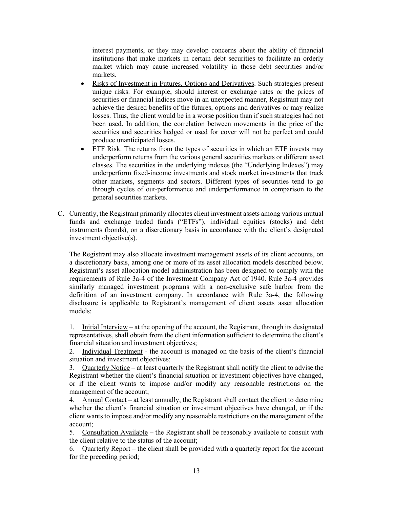interest payments, or they may develop concerns about the ability of financial institutions that make markets in certain debt securities to facilitate an orderly market which may cause increased volatility in those debt securities and/or markets.

- Risks of Investment in Futures, Options and Derivatives. Such strategies present unique risks. For example, should interest or exchange rates or the prices of securities or financial indices move in an unexpected manner, Registrant may not achieve the desired benefits of the futures, options and derivatives or may realize losses. Thus, the client would be in a worse position than if such strategies had not been used. In addition, the correlation between movements in the price of the securities and securities hedged or used for cover will not be perfect and could produce unanticipated losses.
- ETF Risk. The returns from the types of securities in which an ETF invests may underperform returns from the various general securities markets or different asset classes. The securities in the underlying indexes (the "Underlying Indexes") may underperform fixed-income investments and stock market investments that track other markets, segments and sectors. Different types of securities tend to go through cycles of out-performance and underperformance in comparison to the general securities markets.
- C. Currently, the Registrant primarily allocates client investment assets among various mutual funds and exchange traded funds ("ETFs"), individual equities (stocks) and debt instruments (bonds), on a discretionary basis in accordance with the client's designated investment objective(s).

The Registrant may also allocate investment management assets of its client accounts, on a discretionary basis, among one or more of its asset allocation models described below. Registrant's asset allocation model administration has been designed to comply with the requirements of Rule 3a-4 of the Investment Company Act of 1940. Rule 3a-4 provides similarly managed investment programs with a non-exclusive safe harbor from the definition of an investment company. In accordance with Rule 3a-4, the following disclosure is applicable to Registrant's management of client assets asset allocation models:

1. Initial Interview – at the opening of the account, the Registrant, through its designated representatives, shall obtain from the client information sufficient to determine the client's financial situation and investment objectives;

2. Individual Treatment - the account is managed on the basis of the client's financial situation and investment objectives;

3. Quarterly Notice – at least quarterly the Registrant shall notify the client to advise the Registrant whether the client's financial situation or investment objectives have changed, or if the client wants to impose and/or modify any reasonable restrictions on the management of the account;

4. Annual Contact – at least annually, the Registrant shall contact the client to determine whether the client's financial situation or investment objectives have changed, or if the client wants to impose and/or modify any reasonable restrictions on the management of the account;

5. Consultation Available – the Registrant shall be reasonably available to consult with the client relative to the status of the account;

6. Quarterly Report – the client shall be provided with a quarterly report for the account for the preceding period;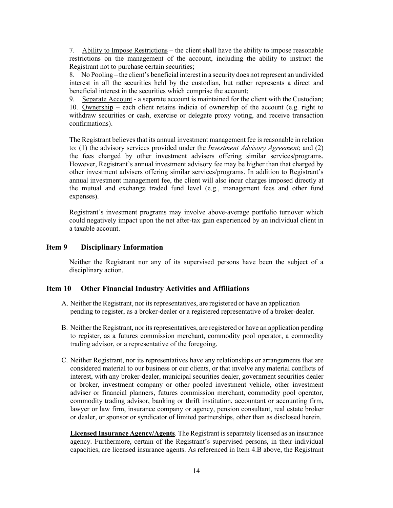7. Ability to Impose Restrictions – the client shall have the ability to impose reasonable restrictions on the management of the account, including the ability to instruct the Registrant not to purchase certain securities;

8. No Pooling – the client's beneficial interest in a security does notrepresent an undivided interest in all the securities held by the custodian, but rather represents a direct and beneficial interest in the securities which comprise the account;

9. Separate Account - a separate account is maintained for the client with the Custodian; 10. Ownership – each client retains indicia of ownership of the account (e.g. right to withdraw securities or cash, exercise or delegate proxy voting, and receive transaction confirmations).

The Registrant believes that its annual investment management fee is reasonable in relation to: (1) the advisory services provided under the *Investment Advisory Agreement*; and (2) the fees charged by other investment advisers offering similar services/programs. However, Registrant's annual investment advisory fee may be higher than that charged by other investment advisers offering similar services/programs. In addition to Registrant's annual investment management fee, the client will also incur charges imposed directly at the mutual and exchange traded fund level (e.g., management fees and other fund expenses).

Registrant's investment programs may involve above-average portfolio turnover which could negatively impact upon the net after-tax gain experienced by an individual client in a taxable account.

#### <span id="page-13-0"></span>**Item 9 Disciplinary Information**

Neither the Registrant nor any of its supervised persons have been the subject of a disciplinary action.

#### <span id="page-13-1"></span>**Item 10 Other Financial Industry Activities and Affiliations**

- A. Neither the Registrant, nor its representatives, are registered or have an application pending to register, as a broker-dealer or a registered representative of a broker-dealer.
- B. Neither the Registrant, nor its representatives, are registered or have an application pending to register, as a futures commission merchant, commodity pool operator, a commodity trading advisor, or a representative of the foregoing.
- C. Neither Registrant, nor its representatives have any relationships or arrangements that are considered material to our business or our clients, or that involve any material conflicts of interest, with any broker-dealer, municipal securities dealer, government securities dealer or broker, investment company or other pooled investment vehicle, other investment adviser or financial planners, futures commission merchant, commodity pool operator, commodity trading advisor, banking or thrift institution, accountant or accounting firm, lawyer or law firm, insurance company or agency, pension consultant, real estate broker or dealer, or sponsor or syndicator of limited partnerships, other than as disclosed herein.

**Licensed Insurance Agency/Agents**. The Registrant isseparately licensed as an insurance agency. Furthermore, certain of the Registrant's supervised persons, in their individual capacities, are licensed insurance agents. As referenced in Item 4.B above, the Registrant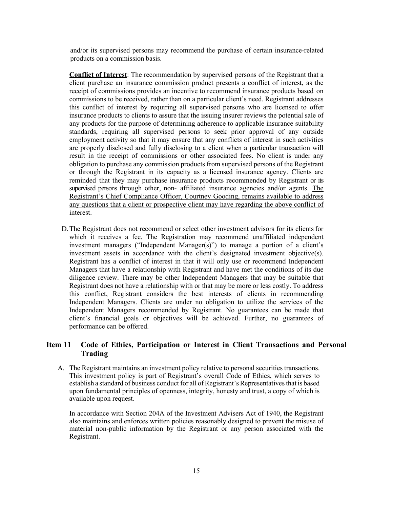and/or its supervised persons may recommend the purchase of certain insurance-related products on a commission basis.

**Conflict of Interest**: The recommendation by supervised persons of the Registrant that a client purchase an insurance commission product presents a conflict of interest, as the receipt of commissions provides an incentive to recommend insurance products based on commissions to be received, rather than on a particular client's need. Registrant addresses this conflict of interest by requiring all supervised persons who are licensed to offer insurance products to clients to assure that the issuing insurer reviews the potential sale of any products for the purpose of determining adherence to applicable insurance suitability standards, requiring all supervised persons to seek prior approval of any outside employment activity so that it may ensure that any conflicts of interest in such activities are properly disclosed and fully disclosing to a client when a particular transaction will result in the receipt of commissions or other associated fees. No client is under any obligation to purchase any commission products from supervised persons of the Registrant or through the Registrant in its capacity as a licensed insurance agency. Clients are reminded that they may purchase insurance products recommended by Registrant or its supervised persons through other, non- affiliated insurance agencies and/or agents. The Registrant's Chief Compliance Officer, Courtney Gooding, remains available to address any questions that a client or prospective client may have regarding the above conflict of interest.

D.The Registrant does not recommend or select other investment advisors for its clients for which it receives a fee. The Registration may recommend unaffiliated independent investment managers ("Independent Manager(s)") to manage a portion of a client's investment assets in accordance with the client's designated investment objective(s). Registrant has a conflict of interest in that it will only use or recommend Independent Managers that have a relationship with Registrant and have met the conditions of its due diligence review. There may be other Independent Managers that may be suitable that Registrant does not have a relationship with or that may be more or less costly. To address this conflict, Registrant considers the best interests of clients in recommending Independent Managers. Clients are under no obligation to utilize the services of the Independent Managers recommended by Registrant. No guarantees can be made that client's financial goals or objectives will be achieved. Further, no guarantees of performance can be offered.

#### <span id="page-14-0"></span>**Item 11 Code of Ethics, Participation or Interest in Client Transactions and Personal Trading**

A. The Registrant maintains an investment policy relative to personal securities transactions. This investment policy is part of Registrant's overall Code of Ethics, which serves to establish a standard of business conduct for all of Registrant's Representatives that is based upon fundamental principles of openness, integrity, honesty and trust, a copy of which is available upon request.

In accordance with Section 204A of the Investment Advisers Act of 1940, the Registrant also maintains and enforces written policies reasonably designed to prevent the misuse of material non-public information by the Registrant or any person associated with the Registrant.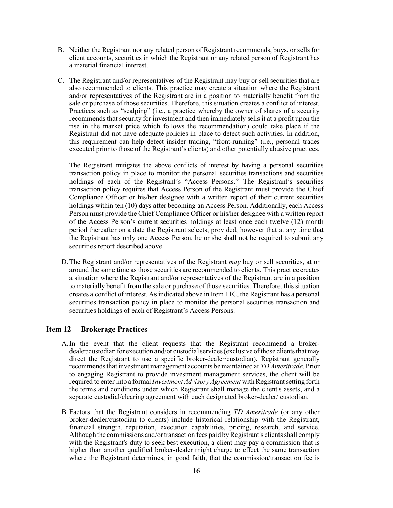- B. Neither the Registrant nor any related person of Registrant recommends, buys, or sells for client accounts, securities in which the Registrant or any related person of Registrant has a material financial interest.
- C. The Registrant and/or representatives of the Registrant may buy or sell securities that are also recommended to clients. This practice may create a situation where the Registrant and/or representatives of the Registrant are in a position to materially benefit from the sale or purchase of those securities. Therefore, this situation creates a conflict of interest. Practices such as "scalping" (i.e., a practice whereby the owner of shares of a security recommends that security for investment and then immediately sells it at a profit upon the rise in the market price which follows the recommendation) could take place if the Registrant did not have adequate policies in place to detect such activities. In addition, this requirement can help detect insider trading, "front-running" (i.e., personal trades executed prior to those of the Registrant's clients) and other potentially abusive practices.

The Registrant mitigates the above conflicts of interest by having a personal securities transaction policy in place to monitor the personal securities transactions and securities holdings of each of the Registrant's "Access Persons." The Registrant's securities transaction policy requires that Access Person of the Registrant must provide the Chief Compliance Officer or his/her designee with a written report of their current securities holdings within ten (10) days after becoming an Access Person. Additionally, each Access Person must provide the Chief Compliance Officer or his/her designee with a written report of the Access Person's current securities holdings at least once each twelve (12) month period thereafter on a date the Registrant selects; provided, however that at any time that the Registrant has only one Access Person, he or she shall not be required to submit any securities report described above.

D.The Registrant and/or representatives of the Registrant *may* buy or sell securities, at or around the same time as those securities are recommended to clients. This practicecreates a situation where the Registrant and/or representatives of the Registrant are in a position to materially benefit from the sale or purchase of those securities. Therefore, this situation creates a conflict of interest. As indicated above in Item 11C, the Registrant has a personal securities transaction policy in place to monitor the personal securities transaction and securities holdings of each of Registrant's Access Persons.

#### <span id="page-15-0"></span>**Item 12 Brokerage Practices**

- A.In the event that the client requests that the Registrant recommend a brokerdealer/custodian for execution and/or custodial services (exclusive of those clients that may direct the Registrant to use a specific broker-dealer/custodian), Registrant generally recommendsthat investment management accounts bemaintained at *TD Ameritrade*. Prior to engaging Registrant to provide investment management services, the client will be required to enter into a formal *Investment Advisory Agreement* with Registrant setting forth the terms and conditions under which Registrant shall manage the client's assets, and a separate custodial/clearing agreement with each designated broker-dealer/ custodian.
- B. Factors that the Registrant considers in recommending *TD Ameritrade* (or any other broker-dealer/custodian to clients) include historical relationship with the Registrant, financial strength, reputation, execution capabilities, pricing, research, and service. Although the commissions and/or transaction fees paid by Registrant's clients shall comply with the Registrant's duty to seek best execution, a client may pay a commission that is higher than another qualified broker-dealer might charge to effect the same transaction where the Registrant determines, in good faith, that the commission/transaction fee is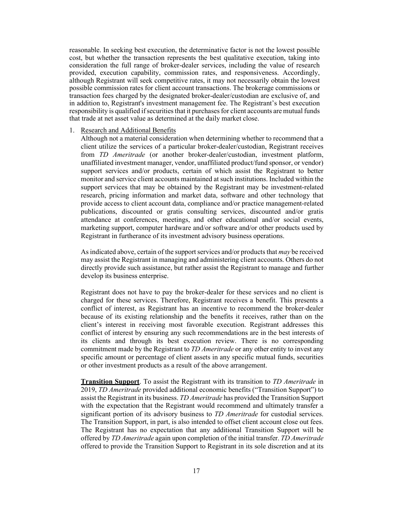reasonable. In seeking best execution, the determinative factor is not the lowest possible cost, but whether the transaction represents the best qualitative execution, taking into consideration the full range of broker-dealer services, including the value of research provided, execution capability, commission rates, and responsiveness. Accordingly, although Registrant will seek competitive rates, it may not necessarily obtain the lowest possible commission rates for client account transactions. The brokerage commissions or transaction fees charged by the designated broker-dealer/custodian are exclusive of, and in addition to, Registrant's investment management fee. The Registrant's best execution responsibility is qualified if securities that it purchases for client accounts are mutual funds that trade at net asset value as determined at the daily market close.

#### 1. Research and Additional Benefits

Although not a material consideration when determining whether to recommend that a client utilize the services of a particular broker-dealer/custodian, Registrant receives from *TD Ameritrade* (or another broker-dealer/custodian, investment platform, unaffiliated investment manager, vendor, unaffiliated product/fund sponsor, or vendor) support services and/or products, certain of which assist the Registrant to better monitor and service client accounts maintained at such institutions. Included within the support services that may be obtained by the Registrant may be investment-related research, pricing information and market data, software and other technology that provide access to client account data, compliance and/or practice management-related publications, discounted or gratis consulting services, discounted and/or gratis attendance at conferences, meetings, and other educational and/or social events, marketing support, computer hardware and/or software and/or other products used by Registrant in furtherance of its investment advisory business operations.

As indicated above, certain of the support services and/or products that *may* be received may assist the Registrant in managing and administering client accounts. Others do not directly provide such assistance, but rather assist the Registrant to manage and further develop its business enterprise.

Registrant does not have to pay the broker-dealer for these services and no client is charged for these services. Therefore, Registrant receives a benefit. This presents a conflict of interest, as Registrant has an incentive to recommend the broker-dealer because of its existing relationship and the benefits it receives, rather than on the client's interest in receiving most favorable execution. Registrant addresses this conflict of interest by ensuring any such recommendations are in the best interests of its clients and through its best execution review. There is no corresponding commitment made by the Registrant to *TD Ameritrade* or any other entity to invest any specific amount or percentage of client assets in any specific mutual funds, securities or other investment products as a result of the above arrangement.

**Transition Support**. To assist the Registrant with its transition to *TD Ameritrade* in 2019, *TD Ameritrade* provided additional economic benefits ("Transition Support") to assist the Registrant in its business. *TD Ameritrade* has provided the Transition Support with the expectation that the Registrant would recommend and ultimately transfer a significant portion of its advisory business to *TD Ameritrade* for custodial services. The Transition Support, in part, is also intended to offset client account close out fees. The Registrant has no expectation that any additional Transition Support will be offered by *TD Ameritrade* again upon completion of the initial transfer. *TD Ameritrade*  offered to provide the Transition Support to Registrant in its sole discretion and at its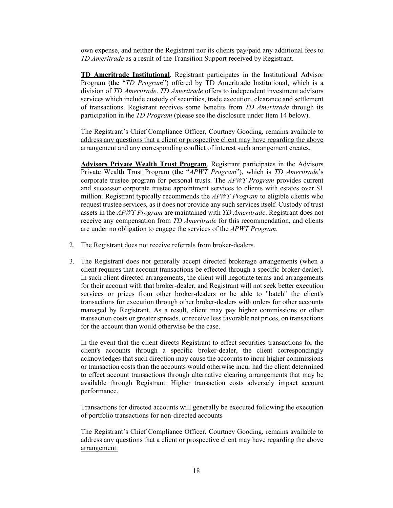own expense, and neither the Registrant nor its clients pay/paid any additional fees to *TD Ameritrade* as a result of the Transition Support received by Registrant.

**TD Ameritrade Institutional**. Registrant participates in the Institutional Advisor Program (the "*TD Program*") offered by TD Ameritrade Institutional, which is a division of *TD Ameritrade*. *TD Ameritrade* offers to independent investment advisors services which include custody of securities, trade execution, clearance and settlement of transactions. Registrant receives some benefits from *TD Ameritrade* through its participation in the *TD Program* (please see the disclosure under Item 14 below).

The Registrant's Chief Compliance Officer, Courtney Gooding, remains available to address any questions that a client or prospective client may have regarding the above arrangement and any corresponding conflict of interest such arrangement creates.

**Advisors Private Wealth Trust Program**. Registrant participates in the Advisors Private Wealth Trust Program (the "*APWT Program*"), which is *TD Ameritrade*'s corporate trustee program for personal trusts. The *APWT Program* provides current and successor corporate trustee appointment services to clients with estates over \$1 million. Registrant typically recommends the *APWT Program* to eligible clients who request trustee services, as it does not provide any such services itself. Custody of trust assets in the *APWT Program* are maintained with *TD Ameritrade*. Registrant does not receive any compensation from *TD Ameritrade* for this recommendation, and clients are under no obligation to engage the services of the *APWT Program*.

- 2. The Registrant does not receive referrals from broker-dealers.
- 3. The Registrant does not generally accept directed brokerage arrangements (when a client requires that account transactions be effected through a specific broker-dealer). In such client directed arrangements, the client will negotiate terms and arrangements for their account with that broker-dealer, and Registrant will not seek better execution services or prices from other broker-dealers or be able to "batch" the client's transactions for execution through other broker-dealers with orders for other accounts managed by Registrant. As a result, client may pay higher commissions or other transaction costs or greater spreads, or receive less favorable net prices, on transactions for the account than would otherwise be the case.

In the event that the client directs Registrant to effect securities transactions for the client's accounts through a specific broker-dealer, the client correspondingly acknowledges that such direction may cause the accounts to incur higher commissions or transaction costs than the accounts would otherwise incur had the client determined to effect account transactions through alternative clearing arrangements that may be available through Registrant. Higher transaction costs adversely impact account performance.

Transactions for directed accounts will generally be executed following the execution of portfolio transactions for non-directed accounts

The Registrant's Chief Compliance Officer, Courtney Gooding, remains available to address any questions that a client or prospective client may have regarding the above arrangement.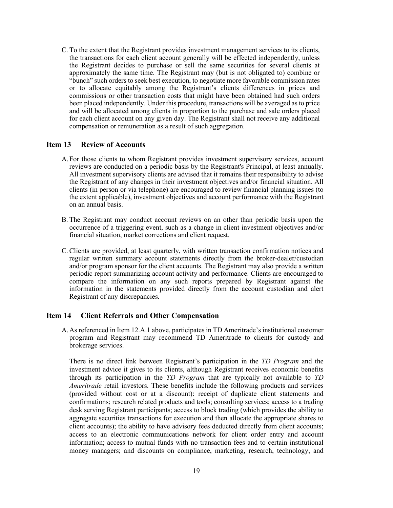C. To the extent that the Registrant provides investment management services to its clients, the transactions for each client account generally will be effected independently, unless the Registrant decides to purchase or sell the same securities for several clients at approximately the same time. The Registrant may (but is not obligated to) combine or "bunch" such orders to seek best execution, to negotiate more favorable commission rates or to allocate equitably among the Registrant's clients differences in prices and commissions or other transaction costs that might have been obtained had such orders been placed independently. Under this procedure, transactions will be averaged as to price and will be allocated among clients in proportion to the purchase and sale orders placed for each client account on any given day. The Registrant shall not receive any additional compensation or remuneration as a result of such aggregation.

#### <span id="page-18-0"></span>**Item 13 Review of Accounts**

- A.For those clients to whom Registrant provides investment supervisory services, account reviews are conducted on a periodic basis by the Registrant's Principal, at least annually. All investment supervisory clients are advised that it remains their responsibility to advise the Registrant of any changes in their investment objectives and/or financial situation. All clients (in person or via telephone) are encouraged to review financial planning issues (to the extent applicable), investment objectives and account performance with the Registrant on an annual basis.
- B. The Registrant may conduct account reviews on an other than periodic basis upon the occurrence of a triggering event, such as a change in client investment objectives and/or financial situation, market corrections and client request.
- C. Clients are provided, at least quarterly, with written transaction confirmation notices and regular written summary account statements directly from the broker-dealer/custodian and/or program sponsor for the client accounts. The Registrant may also provide a written periodic report summarizing account activity and performance. Clients are encouraged to compare the information on any such reports prepared by Registrant against the information in the statements provided directly from the account custodian and alert Registrant of any discrepancies.

#### <span id="page-18-1"></span>**Item 14 Client Referrals and Other Compensation**

A.As referenced in Item 12.A.1 above, participates in TD Ameritrade's institutional customer program and Registrant may recommend TD Ameritrade to clients for custody and brokerage services.

There is no direct link between Registrant's participation in the *TD Program* and the investment advice it gives to its clients, although Registrant receives economic benefits through its participation in the *TD Program* that are typically not available to *TD Ameritrade* retail investors. These benefits include the following products and services (provided without cost or at a discount): receipt of duplicate client statements and confirmations; research related products and tools; consulting services; access to a trading desk serving Registrant participants; access to block trading (which provides the ability to aggregate securities transactions for execution and then allocate the appropriate shares to client accounts); the ability to have advisory fees deducted directly from client accounts; access to an electronic communications network for client order entry and account information; access to mutual funds with no transaction fees and to certain institutional money managers; and discounts on compliance, marketing, research, technology, and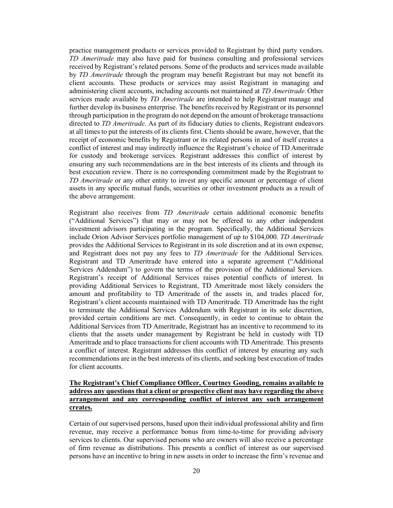practice management products or services provided to Registrant by third party vendors. *TD Ameritrade* may also have paid for business consulting and professional services received by Registrant's related persons. Some of the products and services made available by *TD Ameritrade* through the program may benefit Registrant but may not benefit its client accounts. These products or services may assist Registrant in managing and administering client accounts, including accounts not maintained at *TD Ameritrade*.Other services made available by *TD Ameritrade* are intended to help Registrant manage and further develop its business enterprise. The benefits received by Registrant or its personnel through participation in the program do not depend on the amount of brokerage transactions directed to *TD Ameritrade*. As part of its fiduciary duties to clients, Registrant endeavors at all times to put the interests of its clients first. Clients should be aware, however, that the receipt of economic benefits by Registrant or its related persons in and of itself creates a conflict of interest and may indirectly influence the Registrant's choice of TD Ameritrade for custody and brokerage services. Registrant addresses this conflict of interest by ensuring any such recommendations are in the best interests of its clients and through its best execution review. There is no corresponding commitment made by the Registrant to *TD Ameritrade* or any other entity to invest any specific amount or percentage of client assets in any specific mutual funds, securities or other investment products as a result of the above arrangement.

Registrant also receives from *TD Ameritrade* certain additional economic benefits ("Additional Services") that may or may not be offered to any other independent investment advisors participating in the program. Specifically, the Additional Services include Orion Advisor Services portfolio management of up to \$104,000. *TD Ameritrade*  provides the Additional Services to Registrant in its sole discretion and at its own expense, and Registrant does not pay any fees to *TD Ameritrade* for the Additional Services. Registrant and TD Ameritrade have entered into a separate agreement ("Additional Services Addendum") to govern the terms of the provision of the Additional Services. Registrant's receipt of Additional Services raises potential conflicts of interest. In providing Additional Services to Registrant, TD Ameritrade most likely considers the amount and profitability to TD Ameritrade of the assets in, and trades placed for, Registrant's client accounts maintained with TD Ameritrade. TD Ameritrade has the right to terminate the Additional Services Addendum with Registrant in its sole discretion, provided certain conditions are met. Consequently, in order to continue to obtain the Additional Services from TD Ameritrade, Registrant has an incentive to recommend to its clients that the assets under management by Registrant be held in custody with TD Ameritrade and to place transactions for client accounts with TD Ameritrade. This presents a conflict of interest. Registrant addresses this conflict of interest by ensuring any such recommendations are in the best interests of its clients, and seeking best execution of trades for client accounts.

#### **The Registrant's Chief Compliance Officer, Courtney Gooding, remains available to address any questions that a client or prospective client may have regarding the above arrangement and any corresponding conflict of interest any such arrangement creates.**

Certain of our supervised persons, based upon their individual professional ability and firm revenue, may receive a performance bonus from time-to-time for providing advisory services to clients. Our supervised persons who are owners will also receive a percentage of firm revenue as distributions. This presents a conflict of interest as our supervised persons have an incentive to bring in new assets in order to increase the firm's revenue and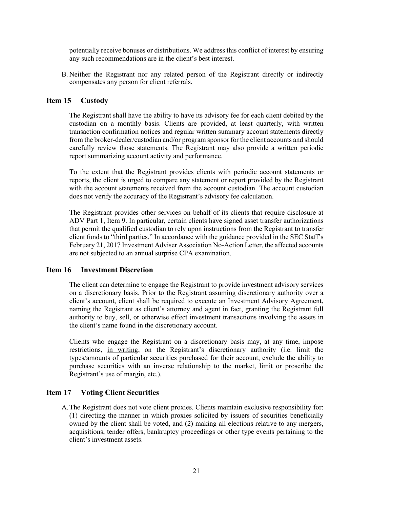potentially receive bonuses or distributions. We address this conflict of interest by ensuring any such recommendations are in the client's best interest.

B. Neither the Registrant nor any related person of the Registrant directly or indirectly compensates any person for client referrals.

#### <span id="page-20-0"></span>**Item 15 Custody**

The Registrant shall have the ability to have its advisory fee for each client debited by the custodian on a monthly basis. Clients are provided, at least quarterly, with written transaction confirmation notices and regular written summary account statements directly from the broker-dealer/custodian and/or program sponsor for the client accounts and should carefully review those statements. The Registrant may also provide a written periodic report summarizing account activity and performance.

To the extent that the Registrant provides clients with periodic account statements or reports, the client is urged to compare any statement or report provided by the Registrant with the account statements received from the account custodian. The account custodian does not verify the accuracy of the Registrant's advisory fee calculation.

The Registrant provides other services on behalf of its clients that require disclosure at ADV Part 1, Item 9. In particular, certain clients have signed asset transfer authorizations that permit the qualified custodian to rely upon instructions from the Registrant to transfer client funds to "third parties." In accordance with the guidance provided in the SEC Staff's February 21, 2017 Investment Adviser Association No-Action Letter, the affected accounts are not subjected to an annual surprise CPA examination.

#### <span id="page-20-1"></span>**Item 16 Investment Discretion**

The client can determine to engage the Registrant to provide investment advisory services on a discretionary basis. Prior to the Registrant assuming discretionary authority over a client's account, client shall be required to execute an Investment Advisory Agreement, naming the Registrant as client's attorney and agent in fact, granting the Registrant full authority to buy, sell, or otherwise effect investment transactions involving the assets in the client's name found in the discretionary account.

Clients who engage the Registrant on a discretionary basis may, at any time, impose restrictions, in writing, on the Registrant's discretionary authority (i.e. limit the types/amounts of particular securities purchased for their account, exclude the ability to purchase securities with an inverse relationship to the market, limit or proscribe the Registrant's use of margin, etc.).

#### <span id="page-20-2"></span>**Item 17 Voting Client Securities**

A.The Registrant does not vote client proxies. Clients maintain exclusive responsibility for: (1) directing the manner in which proxies solicited by issuers of securities beneficially owned by the client shall be voted, and (2) making all elections relative to any mergers, acquisitions, tender offers, bankruptcy proceedings or other type events pertaining to the client's investment assets.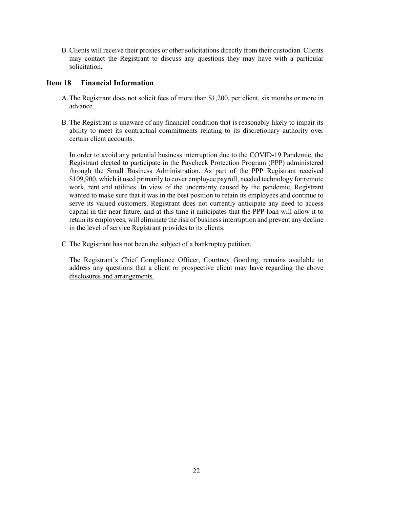B. Clients will receive their proxies or other solicitations directly from their custodian. Clients may contact the Registrant to discuss any questions they may have with a particular solicitation.

#### <span id="page-21-0"></span>**Item 18 Financial Information**

- A.The Registrant does not solicit fees of more than \$1,200, per client, six months or more in advance.
- B. The Registrant is unaware of any financial condition that is reasonably likely to impair its ability to meet its contractual commitments relating to its discretionary authority over certain client accounts.

In order to avoid any potential business interruption due to the COVID-19 Pandemic, the Registrant elected to participate in the Paycheck Protection Program (PPP) administered through the Small Business Administration. As part of the PPP Registrant received \$109,900, which it used primarily to cover employee payroll, needed technology for remote work, rent and utilities. In view of the uncertainty caused by the pandemic, Registrant wanted to make sure that it was in the best position to retain its employees and continue to serve its valued customers. Registrant does not currently anticipate any need to access capital in the near future, and at this time it anticipates that the PPP loan will allow it to retain its employees, will eliminate the risk of business interruption and prevent any decline in the level of service Registrant provides to its clients.

C. The Registrant has not been the subject of a bankruptcy petition.

The Registrant's Chief Compliance Officer, Courtney Gooding, remains available to address any questions that a client or prospective client may have regarding the above disclosures and arrangements.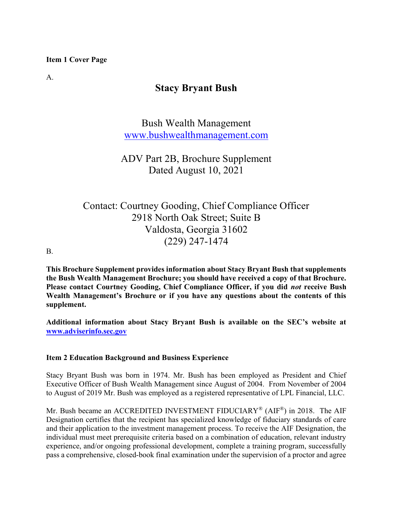Item 1 Cover Page

A.

# Stacy Bryant Bush

Bush Wealth Management www.bushwealthmanagement.com

ADV Part 2B, Brochure Supplement Dated August 10, 2021

Contact: Courtney Gooding, Chief Compliance Officer 2918 North Oak Street; Suite B Valdosta, Georgia 31602 (229) 247-1474

B.

This Brochure Supplement provides information about Stacy Bryant Bush that supplements the Bush Wealth Management Brochure; you should have received a copy of that Brochure. Please contact Courtney Gooding, Chief Compliance Officer, if you did not receive Bush Wealth Management's Brochure or if you have any questions about the contents of this supplement.

Additional information about Stacy Bryant Bush is available on the SEC's website at www.adviserinfo.sec.gov

## Item 2 Education Background and Business Experience

Stacy Bryant Bush was born in 1974. Mr. Bush has been employed as President and Chief Executive Officer of Bush Wealth Management since August of 2004. From November of 2004 to August of 2019 Mr. Bush was employed as a registered representative of LPL Financial, LLC.

Mr. Bush became an ACCREDITED INVESTMENT FIDUCIARY<sup>®</sup> (AIF<sup>®</sup>) in 2018. The AIF Designation certifies that the recipient has specialized knowledge of fiduciary standards of care and their application to the investment management process. To receive the AIF Designation, the individual must meet prerequisite criteria based on a combination of education, relevant industry experience, and/or ongoing professional development, complete a training program, successfully pass a comprehensive, closed-book final examination under the supervision of a proctor and agree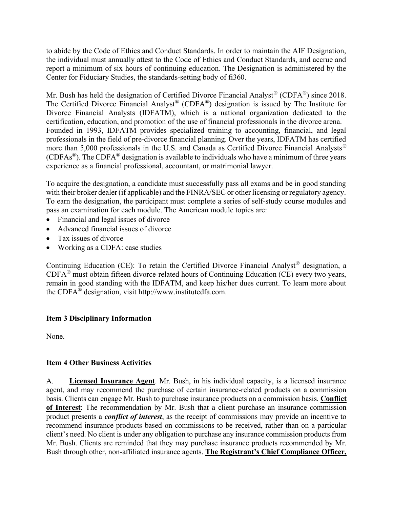to abide by the Code of Ethics and Conduct Standards. In order to maintain the AIF Designation, the individual must annually attest to the Code of Ethics and Conduct Standards, and accrue and report a minimum of six hours of continuing education. The Designation is administered by the Center for Fiduciary Studies, the standards-setting body of fi360.

Mr. Bush has held the designation of Certified Divorce Financial Analyst<sup>®</sup> (CDFA<sup>®</sup>) since 2018. The Certified Divorce Financial Analyst<sup>®</sup> (CDFA<sup>®</sup>) designation is issued by The Institute for Divorce Financial Analysts (IDFATM), which is a national organization dedicated to the certification, education, and promotion of the use of financial professionals in the divorce arena. Founded in 1993, IDFATM provides specialized training to accounting, financial, and legal professionals in the field of pre‐divorce financial planning. Over the years, IDFATM has certified more than 5,000 professionals in the U.S. and Canada as Certified Divorce Financial Analysts<sup>®</sup> (CDFAs<sup>®</sup>). The CDFA<sup>®</sup> designation is available to individuals who have a minimum of three years experience as a financial professional, accountant, or matrimonial lawyer.

To acquire the designation, a candidate must successfully pass all exams and be in good standing with their broker dealer (if applicable) and the FINRA/SEC or other licensing or regulatory agency. To earn the designation, the participant must complete a series of self‐study course modules and pass an examination for each module. The American module topics are:

- Financial and legal issues of divorce
- Advanced financial issues of divorce
- Tax issues of divorce
- Working as a CDFA: case studies

Continuing Education (CE): To retain the Certified Divorce Financial Analyst® designation, a CDFA® must obtain fifteen divorce-related hours of Continuing Education (CE) every two years, remain in good standing with the IDFATM, and keep his/her dues current. To learn more about the CDFA® designation, visit http://www.institutedfa.com.

## Item 3 Disciplinary Information

None.

## Item 4 Other Business Activities

A. Licensed Insurance Agent. Mr. Bush, in his individual capacity, is a licensed insurance agent, and may recommend the purchase of certain insurance-related products on a commission basis. Clients can engage Mr. Bush to purchase insurance products on a commission basis. Conflict of Interest: The recommendation by Mr. Bush that a client purchase an insurance commission product presents a *conflict of interest*, as the receipt of commissions may provide an incentive to recommend insurance products based on commissions to be received, rather than on a particular client's need. No client is under any obligation to purchase any insurance commission products from Mr. Bush. Clients are reminded that they may purchase insurance products recommended by Mr. Bush through other, non-affiliated insurance agents. The Registrant's Chief Compliance Officer,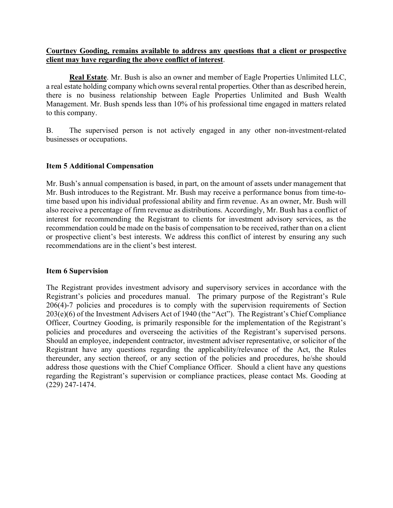## Courtney Gooding, remains available to address any questions that a client or prospective client may have regarding the above conflict of interest.

Real Estate. Mr. Bush is also an owner and member of Eagle Properties Unlimited LLC, a real estate holding company which owns several rental properties. Other than as described herein, there is no business relationship between Eagle Properties Unlimited and Bush Wealth Management. Mr. Bush spends less than 10% of his professional time engaged in matters related to this company.

B. The supervised person is not actively engaged in any other non-investment-related businesses or occupations.

## Item 5 Additional Compensation

Mr. Bush's annual compensation is based, in part, on the amount of assets under management that Mr. Bush introduces to the Registrant. Mr. Bush may receive a performance bonus from time-totime based upon his individual professional ability and firm revenue. As an owner, Mr. Bush will also receive a percentage of firm revenue as distributions. Accordingly, Mr. Bush has a conflict of interest for recommending the Registrant to clients for investment advisory services, as the recommendation could be made on the basis of compensation to be received, rather than on a client or prospective client's best interests. We address this conflict of interest by ensuring any such recommendations are in the client's best interest.

## Item 6 Supervision

The Registrant provides investment advisory and supervisory services in accordance with the Registrant's policies and procedures manual. The primary purpose of the Registrant's Rule 206(4)-7 policies and procedures is to comply with the supervision requirements of Section 203(e)(6) of the Investment Advisers Act of 1940 (the "Act"). The Registrant's Chief Compliance Officer, Courtney Gooding, is primarily responsible for the implementation of the Registrant's policies and procedures and overseeing the activities of the Registrant's supervised persons. Should an employee, independent contractor, investment adviser representative, or solicitor of the Registrant have any questions regarding the applicability/relevance of the Act, the Rules thereunder, any section thereof, or any section of the policies and procedures, he/she should address those questions with the Chief Compliance Officer. Should a client have any questions regarding the Registrant's supervision or compliance practices, please contact Ms. Gooding at (229) 247-1474.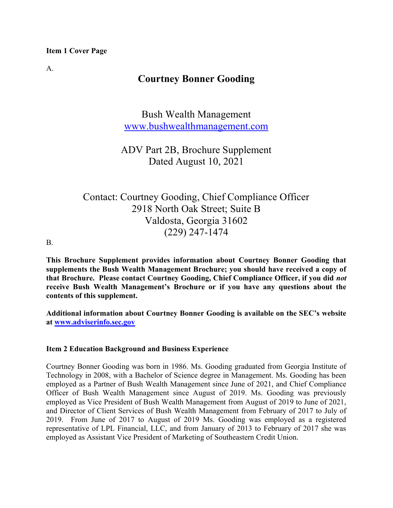Item 1 Cover Page

A.

## Courtney Bonner Gooding

Bush Wealth Management www.bushwealthmanagement.com

ADV Part 2B, Brochure Supplement Dated August 10, 2021

Contact: Courtney Gooding, Chief Compliance Officer 2918 North Oak Street; Suite B Valdosta, Georgia 31602 (229) 247-1474

B.

This Brochure Supplement provides information about Courtney Bonner Gooding that supplements the Bush Wealth Management Brochure; you should have received a copy of that Brochure. Please contact Courtney Gooding, Chief Compliance Officer, if you did not receive Bush Wealth Management's Brochure or if you have any questions about the contents of this supplement.

Additional information about Courtney Bonner Gooding is available on the SEC's website at www.adviserinfo.sec.gov

## Item 2 Education Background and Business Experience

Courtney Bonner Gooding was born in 1986. Ms. Gooding graduated from Georgia Institute of Technology in 2008, with a Bachelor of Science degree in Management. Ms. Gooding has been employed as a Partner of Bush Wealth Management since June of 2021, and Chief Compliance Officer of Bush Wealth Management since August of 2019. Ms. Gooding was previously employed as Vice President of Bush Wealth Management from August of 2019 to June of 2021, and Director of Client Services of Bush Wealth Management from February of 2017 to July of 2019. From June of 2017 to August of 2019 Ms. Gooding was employed as a registered representative of LPL Financial, LLC, and from January of 2013 to February of 2017 she was employed as Assistant Vice President of Marketing of Southeastern Credit Union.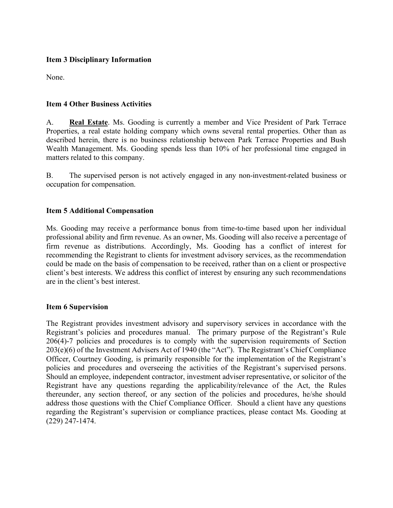## Item 3 Disciplinary Information

None.

## Item 4 Other Business Activities

A. Real Estate. Ms. Gooding is currently a member and Vice President of Park Terrace Properties, a real estate holding company which owns several rental properties. Other than as described herein, there is no business relationship between Park Terrace Properties and Bush Wealth Management. Ms. Gooding spends less than 10% of her professional time engaged in matters related to this company.

B. The supervised person is not actively engaged in any non-investment-related business or occupation for compensation.

## Item 5 Additional Compensation

Ms. Gooding may receive a performance bonus from time-to-time based upon her individual professional ability and firm revenue. As an owner, Ms. Gooding will also receive a percentage of firm revenue as distributions. Accordingly, Ms. Gooding has a conflict of interest for recommending the Registrant to clients for investment advisory services, as the recommendation could be made on the basis of compensation to be received, rather than on a client or prospective client's best interests. We address this conflict of interest by ensuring any such recommendations are in the client's best interest.

## Item 6 Supervision

The Registrant provides investment advisory and supervisory services in accordance with the Registrant's policies and procedures manual. The primary purpose of the Registrant's Rule 206(4)-7 policies and procedures is to comply with the supervision requirements of Section 203(e)(6) of the Investment Advisers Act of 1940 (the "Act"). The Registrant's Chief Compliance Officer, Courtney Gooding, is primarily responsible for the implementation of the Registrant's policies and procedures and overseeing the activities of the Registrant's supervised persons. Should an employee, independent contractor, investment adviser representative, or solicitor of the Registrant have any questions regarding the applicability/relevance of the Act, the Rules thereunder, any section thereof, or any section of the policies and procedures, he/she should address those questions with the Chief Compliance Officer. Should a client have any questions regarding the Registrant's supervision or compliance practices, please contact Ms. Gooding at (229) 247-1474.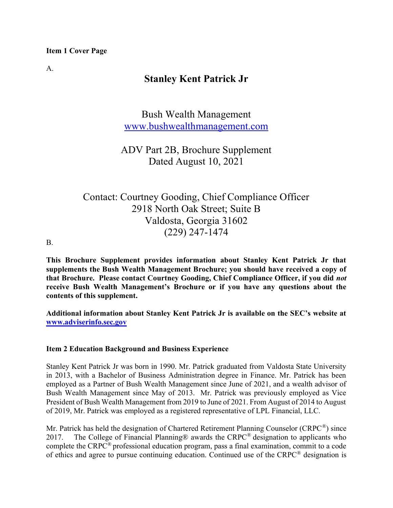Item 1 Cover Page

A.

## Stanley Kent Patrick Jr

Bush Wealth Management www.bushwealthmanagement.com

ADV Part 2B, Brochure Supplement Dated August 10, 2021

Contact: Courtney Gooding, Chief Compliance Officer 2918 North Oak Street; Suite B Valdosta, Georgia 31602 (229) 247-1474

B.

This Brochure Supplement provides information about Stanley Kent Patrick Jr that supplements the Bush Wealth Management Brochure; you should have received a copy of that Brochure. Please contact Courtney Gooding, Chief Compliance Officer, if you did not receive Bush Wealth Management's Brochure or if you have any questions about the contents of this supplement.

Additional information about Stanley Kent Patrick Jr is available on the SEC's website at www.adviserinfo.sec.gov

## Item 2 Education Background and Business Experience

Stanley Kent Patrick Jr was born in 1990. Mr. Patrick graduated from Valdosta State University in 2013, with a Bachelor of Business Administration degree in Finance. Mr. Patrick has been employed as a Partner of Bush Wealth Management since June of 2021, and a wealth advisor of Bush Wealth Management since May of 2013. Mr. Patrick was previously employed as Vice President of Bush Wealth Management from 2019 to June of 2021. From August of 2014 to August of 2019, Mr. Patrick was employed as a registered representative of LPL Financial, LLC.

Mr. Patrick has held the designation of Chartered Retirement Planning Counselor (CRPC<sup>®</sup>) since 2017. The College of Financial Planning® awards the CRPC<sup>®</sup> designation to applicants who complete the CRPC® professional education program, pass a final examination, commit to a code of ethics and agree to pursue continuing education. Continued use of the CRPC® designation is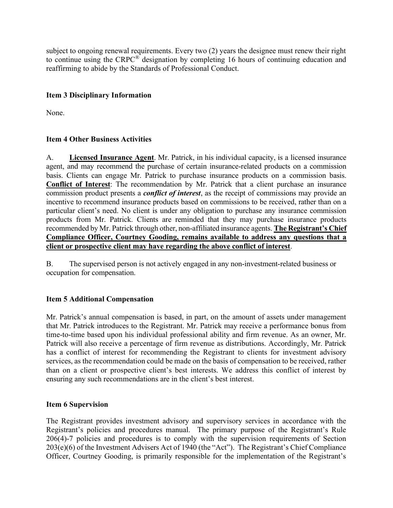subject to ongoing renewal requirements. Every two (2) years the designee must renew their right to continue using the CRPC® designation by completing 16 hours of continuing education and reaffirming to abide by the Standards of Professional Conduct.

## Item 3 Disciplinary Information

None.

## Item 4 Other Business Activities

A. Licensed Insurance Agent. Mr. Patrick, in his individual capacity, is a licensed insurance agent, and may recommend the purchase of certain insurance-related products on a commission basis. Clients can engage Mr. Patrick to purchase insurance products on a commission basis. Conflict of Interest: The recommendation by Mr. Patrick that a client purchase an insurance commission product presents a *conflict of interest*, as the receipt of commissions may provide an incentive to recommend insurance products based on commissions to be received, rather than on a particular client's need. No client is under any obligation to purchase any insurance commission products from Mr. Patrick. Clients are reminded that they may purchase insurance products recommended by Mr. Patrick through other, non-affiliated insurance agents. The Registrant's Chief Compliance Officer, Courtney Gooding, remains available to address any questions that a client or prospective client may have regarding the above conflict of interest.

B. The supervised person is not actively engaged in any non-investment-related business or occupation for compensation.

## Item 5 Additional Compensation

Mr. Patrick's annual compensation is based, in part, on the amount of assets under management that Mr. Patrick introduces to the Registrant. Mr. Patrick may receive a performance bonus from time-to-time based upon his individual professional ability and firm revenue. As an owner, Mr. Patrick will also receive a percentage of firm revenue as distributions. Accordingly, Mr. Patrick has a conflict of interest for recommending the Registrant to clients for investment advisory services, as the recommendation could be made on the basis of compensation to be received, rather than on a client or prospective client's best interests. We address this conflict of interest by ensuring any such recommendations are in the client's best interest.

## Item 6 Supervision

The Registrant provides investment advisory and supervisory services in accordance with the Registrant's policies and procedures manual. The primary purpose of the Registrant's Rule 206(4)-7 policies and procedures is to comply with the supervision requirements of Section 203(e)(6) of the Investment Advisers Act of 1940 (the "Act"). The Registrant's Chief Compliance Officer, Courtney Gooding, is primarily responsible for the implementation of the Registrant's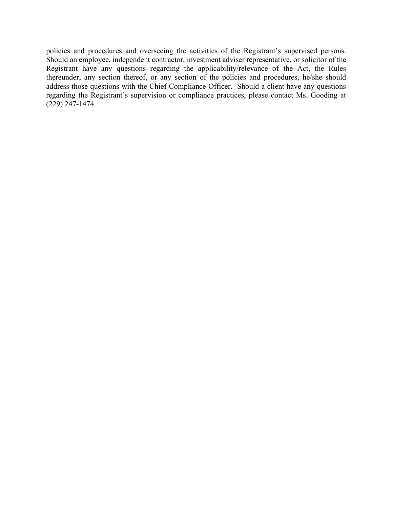policies and procedures and overseeing the activities of the Registrant's supervised persons. Should an employee, independent contractor, investment adviser representative, or solicitor of the Registrant have any questions regarding the applicability/relevance of the Act, the Rules thereunder, any section thereof, or any section of the policies and procedures, he/she should address those questions with the Chief Compliance Officer. Should a client have any questions regarding the Registrant's supervision or compliance practices, please contact Ms. Gooding at (229) 247-1474.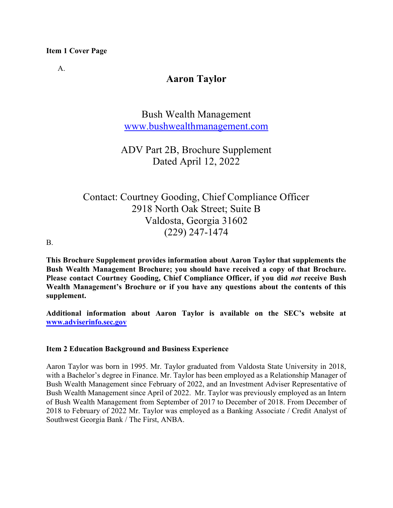## Item 1 Cover Page

A.

# Aaron Taylor

Bush Wealth Management www.bushwealthmanagement.com

ADV Part 2B, Brochure Supplement Dated April 12, 2022

Contact: Courtney Gooding, Chief Compliance Officer 2918 North Oak Street; Suite B Valdosta, Georgia 31602 (229) 247-1474

B.

This Brochure Supplement provides information about Aaron Taylor that supplements the Bush Wealth Management Brochure; you should have received a copy of that Brochure. Please contact Courtney Gooding, Chief Compliance Officer, if you did not receive Bush Wealth Management's Brochure or if you have any questions about the contents of this supplement.

Additional information about Aaron Taylor is available on the SEC's website at www.adviserinfo.sec.gov

## Item 2 Education Background and Business Experience

Aaron Taylor was born in 1995. Mr. Taylor graduated from Valdosta State University in 2018, with a Bachelor's degree in Finance. Mr. Taylor has been employed as a Relationship Manager of Bush Wealth Management since February of 2022, and an Investment Adviser Representative of Bush Wealth Management since April of 2022. Mr. Taylor was previously employed as an Intern of Bush Wealth Management from September of 2017 to December of 2018. From December of 2018 to February of 2022 Mr. Taylor was employed as a Banking Associate / Credit Analyst of Southwest Georgia Bank / The First, ANBA.